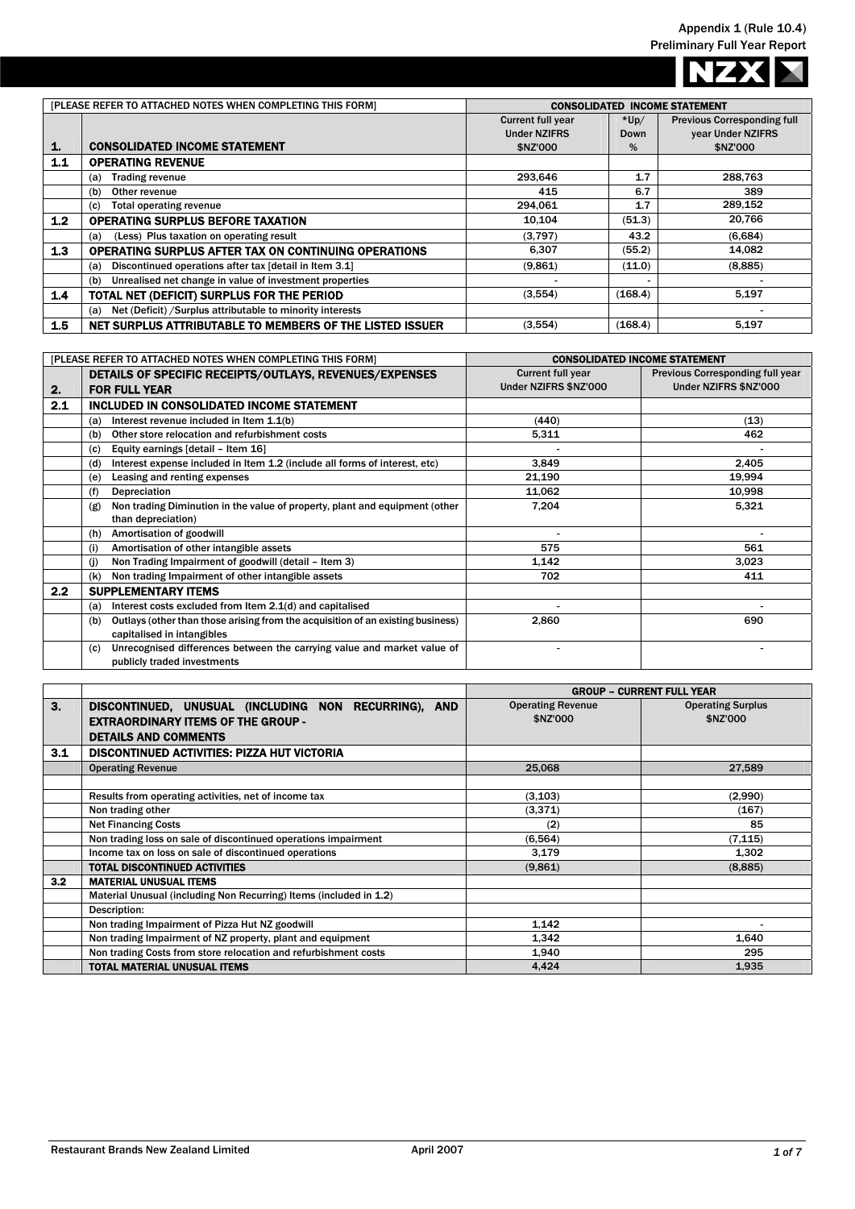NZX

Ι  $\blacksquare$ 

|     | [PLEASE REFER TO ATTACHED NOTES WHEN COMPLETING THIS FORM]        |                          |         | <b>CONSOLIDATED INCOME STATEMENT</b> |
|-----|-------------------------------------------------------------------|--------------------------|---------|--------------------------------------|
|     |                                                                   | <b>Current full year</b> | $*Up/$  | <b>Previous Corresponding full</b>   |
|     |                                                                   | <b>Under NZIFRS</b>      | Down    | year Under NZIFRS                    |
| 1.  | <b>CONSOLIDATED INCOME STATEMENT</b>                              | \$NZ'000                 | %       | \$NZ'000                             |
| 1.1 | <b>OPERATING REVENUE</b>                                          |                          |         |                                      |
|     | <b>Trading revenue</b><br>(a)                                     | 293,646                  | 1.7     | 288,763                              |
|     | Other revenue<br>(b)                                              | 415                      | 6.7     | 389                                  |
|     | Total operating revenue<br>(c)                                    | 294,061                  | 1.7     | 289,152                              |
| 1.2 | <b>OPERATING SURPLUS BEFORE TAXATION</b>                          | 10,104                   | (51.3)  | 20,766                               |
|     | (Less) Plus taxation on operating result<br>(a)                   | (3,797)                  | 43.2    | (6,684)                              |
| 1.3 | OPERATING SURPLUS AFTER TAX ON CONTINUING OPERATIONS              | 6,307                    | (55.2)  | 14,082                               |
|     | Discontinued operations after tax [detail in Item 3.1]<br>(a)     | (9,861)                  | (11.0)  | (8,885)                              |
|     | Unrealised net change in value of investment properties<br>(b)    |                          |         |                                      |
| 1.4 | TOTAL NET (DEFICIT) SURPLUS FOR THE PERIOD                        | (3,554)                  | (168.4) | 5,197                                |
|     | Net (Deficit) / Surplus attributable to minority interests<br>(a) |                          |         |                                      |
| 1.5 | NET SURPLUS ATTRIBUTABLE TO MEMBERS OF THE LISTED ISSUER          | (3,554)                  | (168.4) | 5,197                                |

|     | [PLEASE REFER TO ATTACHED NOTES WHEN COMPLETING THIS FORM]                             |                          | <b>CONSOLIDATED INCOME STATEMENT</b> |
|-----|----------------------------------------------------------------------------------------|--------------------------|--------------------------------------|
|     | DETAILS OF SPECIFIC RECEIPTS/OUTLAYS, REVENUES/EXPENSES                                | <b>Current full year</b> | Previous Corresponding full year     |
| 2.  | <b>FOR FULL YEAR</b>                                                                   | Under NZIFRS \$NZ'000    | Under NZIFRS \$NZ'000                |
| 2.1 | INCLUDED IN CONSOLIDATED INCOME STATEMENT                                              |                          |                                      |
|     | Interest revenue included in Item 1.1(b)<br>(a)                                        | (440)                    | (13)                                 |
|     | Other store relocation and refurbishment costs<br>(b)                                  | 5,311                    | 462                                  |
|     | Equity earnings [detail - Item 16]<br>(c)                                              |                          |                                      |
|     | Interest expense included in Item 1.2 (include all forms of interest, etc)<br>(d)      | 3,849                    | 2,405                                |
|     | Leasing and renting expenses<br>(e)                                                    | 21,190                   | 19,994                               |
|     | (f)<br>Depreciation                                                                    | 11,062                   | 10,998                               |
|     | Non trading Diminution in the value of property, plant and equipment (other<br>(g)     | 7,204                    | 5,321                                |
|     | than depreciation)                                                                     |                          |                                      |
|     | Amortisation of goodwill<br>(h)                                                        |                          |                                      |
|     | Amortisation of other intangible assets<br>(i)                                         | 575                      | 561                                  |
|     | Non Trading Impairment of goodwill (detail - Item 3)<br>(i)                            | 1,142                    | 3,023                                |
|     | Non trading Impairment of other intangible assets<br>(k)                               | 702                      | 411                                  |
| 2.2 | <b>SUPPLEMENTARY ITEMS</b>                                                             |                          |                                      |
|     | Interest costs excluded from Item 2.1(d) and capitalised<br>(a)                        |                          |                                      |
|     | Outlays (other than those arising from the acquisition of an existing business)<br>(b) | 2,860                    | 690                                  |
|     | capitalised in intangibles                                                             |                          |                                      |
|     | Unrecognised differences between the carrying value and market value of<br>(c)         |                          |                                      |
|     | publicly traded investments                                                            |                          |                                      |

|     |                                                                    | <b>GROUP - CURRENT FULL YEAR</b> |                          |  |
|-----|--------------------------------------------------------------------|----------------------------------|--------------------------|--|
| 3.  | DISCONTINUED, UNUSUAL (INCLUDING NON RECURRING), AND               | <b>Operating Revenue</b>         | <b>Operating Surplus</b> |  |
|     | <b>EXTRAORDINARY ITEMS OF THE GROUP -</b>                          | \$NZ'000                         | \$NZ'000                 |  |
|     | <b>DETAILS AND COMMENTS</b>                                        |                                  |                          |  |
| 3.1 | <b>DISCONTINUED ACTIVITIES: PIZZA HUT VICTORIA</b>                 |                                  |                          |  |
|     | <b>Operating Revenue</b>                                           | 25,068                           | 27,589                   |  |
|     |                                                                    |                                  |                          |  |
|     | Results from operating activities, net of income tax               | (3, 103)                         | (2,990)                  |  |
|     | Non trading other                                                  | (3,371)                          | (167)                    |  |
|     | <b>Net Financing Costs</b>                                         | (2)                              | 85                       |  |
|     | Non trading loss on sale of discontinued operations impairment     | (6, 564)                         | (7.115)                  |  |
|     | Income tax on loss on sale of discontinued operations              | 3,179                            | 1,302                    |  |
|     | <b>TOTAL DISCONTINUED ACTIVITIES</b>                               | (9.861)                          | (8,885)                  |  |
| 3.2 | <b>MATERIAL UNUSUAL ITEMS</b>                                      |                                  |                          |  |
|     | Material Unusual (including Non Recurring) Items (included in 1.2) |                                  |                          |  |
|     | Description:                                                       |                                  |                          |  |
|     | Non trading Impairment of Pizza Hut NZ goodwill                    | 1,142                            |                          |  |
|     | Non trading Impairment of NZ property, plant and equipment         | 1,342                            | 1,640                    |  |
|     | Non trading Costs from store relocation and refurbishment costs    | 1,940                            | 295                      |  |
|     | <b>TOTAL MATERIAL UNUSUAL ITEMS</b>                                | 4,424                            | 1,935                    |  |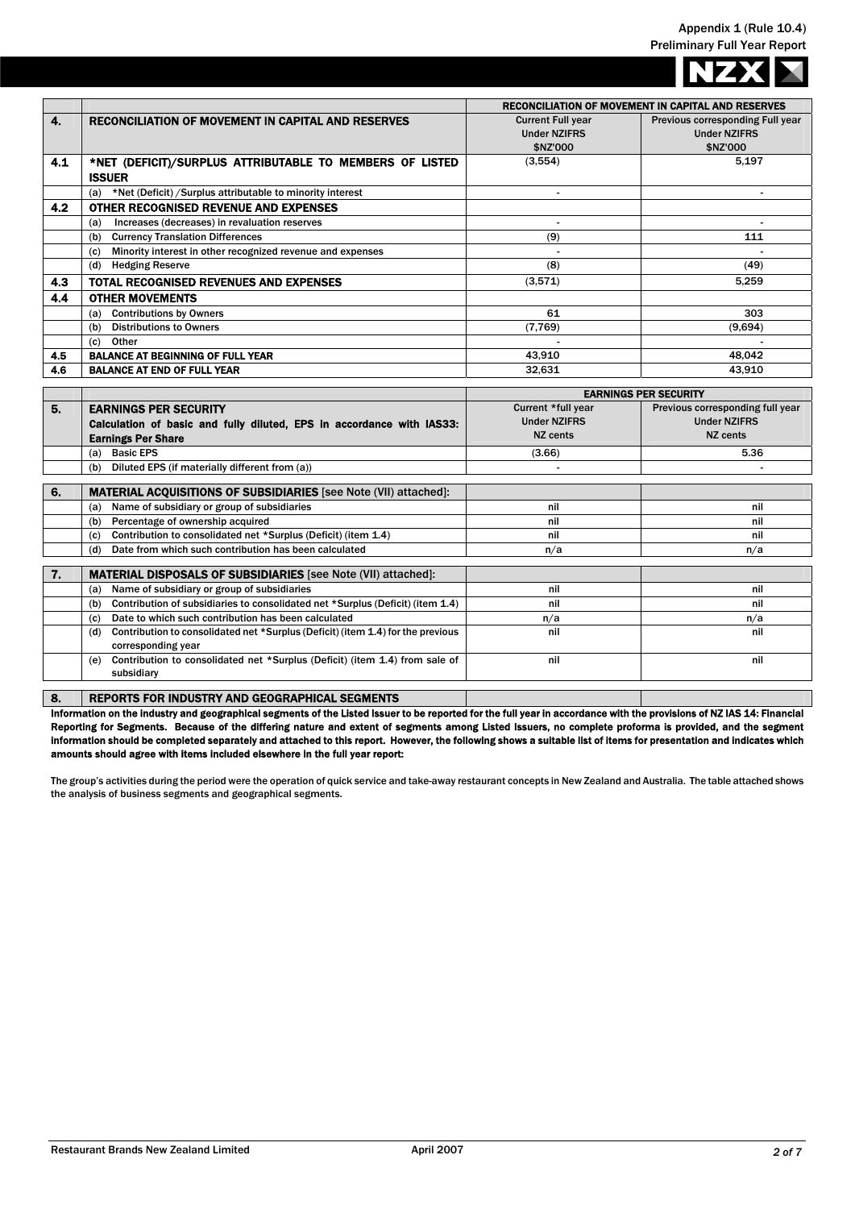|     |                                                                   |                          | <b>RECONCILIATION OF MOVEMENT IN CAPITAL AND RESERVES</b> |
|-----|-------------------------------------------------------------------|--------------------------|-----------------------------------------------------------|
| 4.  | <b>RECONCILIATION OF MOVEMENT IN CAPITAL AND RESERVES</b>         | <b>Current Full year</b> | Previous corresponding Full year                          |
|     |                                                                   | <b>Under NZIFRS</b>      | <b>Under NZIFRS</b>                                       |
|     |                                                                   | \$NZ'000                 | \$NZ'000                                                  |
| 4.1 | *NET (DEFICIT)/SURPLUS ATTRIBUTABLE TO MEMBERS OF LISTED          | (3, 554)                 | 5,197                                                     |
|     | <b>ISSUER</b>                                                     |                          |                                                           |
|     | *Net (Deficit) / Surplus attributable to minority interest<br>(a) | $\overline{\phantom{a}}$ | ۰                                                         |
| 4.2 | OTHER RECOGNISED REVENUE AND EXPENSES                             |                          |                                                           |
|     | Increases (decreases) in revaluation reserves<br>(a)              |                          |                                                           |
|     | <b>Currency Translation Differences</b><br>(b)                    | (9)                      | 111                                                       |
|     | Minority interest in other recognized revenue and expenses<br>(c) |                          |                                                           |
|     | <b>Hedging Reserve</b><br>(d)                                     | (8)                      | (49)                                                      |
| 4.3 | TOTAL RECOGNISED REVENUES AND EXPENSES                            | (3,571)                  | 5.259                                                     |
| 4.4 | <b>OTHER MOVEMENTS</b>                                            |                          |                                                           |
|     | <b>Contributions by Owners</b><br>(a)                             | 61                       | 303                                                       |
|     | <b>Distributions to Owners</b><br>(b)                             | (7,769)                  | (9,694)                                                   |
|     | Other<br>(c)                                                      |                          |                                                           |
| 4.5 | <b>BALANCE AT BEGINNING OF FULL YEAR</b>                          | 43,910                   | 48,042                                                    |
| 4.6 | <b>BALANCE AT END OF FULL YEAR</b>                                | 32,631                   | 43,910                                                    |
|     |                                                                   |                          | <b>EADMINAC DED CEAUDITY</b>                              |

|    |                                                                                        |                     | <b>EARNINGS PER SECURITY</b>     |
|----|----------------------------------------------------------------------------------------|---------------------|----------------------------------|
| 5. | <b>EARNINGS PER SECURITY</b>                                                           | Current *full year  | Previous corresponding full year |
|    | Calculation of basic and fully diluted, EPS in accordance with IAS33:                  | <b>Under NZIFRS</b> | <b>Under NZIFRS</b>              |
|    | <b>Earnings Per Share</b>                                                              | NZ cents            | NZ cents                         |
|    | <b>Basic EPS</b><br>(a)                                                                | (3.66)              | 5.36                             |
|    | Diluted EPS (if materially different from (a))<br>(b)                                  |                     |                                  |
|    |                                                                                        |                     |                                  |
| 6. | <b>MATERIAL ACQUISITIONS OF SUBSIDIARIES</b> [see Note (VII) attached]:                |                     |                                  |
|    | Name of subsidiary or group of subsidiaries<br>(a)                                     | nil                 | nil                              |
|    | Percentage of ownership acquired<br>(b)                                                | nil                 | nil                              |
|    | Contribution to consolidated net *Surplus (Deficit) (item 1.4)<br>(c)                  | nil                 | nil                              |
|    | Date from which such contribution has been calculated<br>(d)                           | n/a                 | n/a                              |
|    |                                                                                        |                     |                                  |
| 7. | <b>MATERIAL DISPOSALS OF SUBSIDIARIES</b> [see Note (VII) attached]:                   |                     |                                  |
|    | Name of subsidiary or group of subsidiaries<br>(a)                                     | nil                 | nil                              |
|    | Contribution of subsidiaries to consolidated net *Surplus (Deficit) (item 1.4)<br>(b)  | nil                 | nil                              |
|    | Date to which such contribution has been calculated<br>(c)                             | n/a                 | n/a                              |
|    | Contribution to consolidated net *Surplus (Deficit) (item 1.4) for the previous<br>(d) | nil                 | nil                              |
|    | corresponding year                                                                     |                     |                                  |
|    | Contribution to consolidated net *Surplus (Deficit) (item 1.4) from sale of<br>(e)     | nil                 | nil                              |
|    | subsidiary                                                                             |                     |                                  |
|    |                                                                                        |                     |                                  |

8. REPORTS FOR INDUSTRY AND GEOGRAPHICAL SEGMENTS

Information on the industry and geographical segments of the Listed Issuer to be reported for the full year in accordance with the provisions of NZ IAS 14: Financial Reporting for Segments. Because of the differing nature and extent of segments among Listed Issuers, no complete proforma is provided, and the segment information should be completed separately and attached to this report. However, the following shows a suitable list of items for presentation and indicates which amounts should agree with items included elsewhere in the full year report:

The group's activities during the period were the operation of quick service and take-away restaurant concepts in New Zealand and Australia. The table attached shows the analysis of business segments and geographical segments.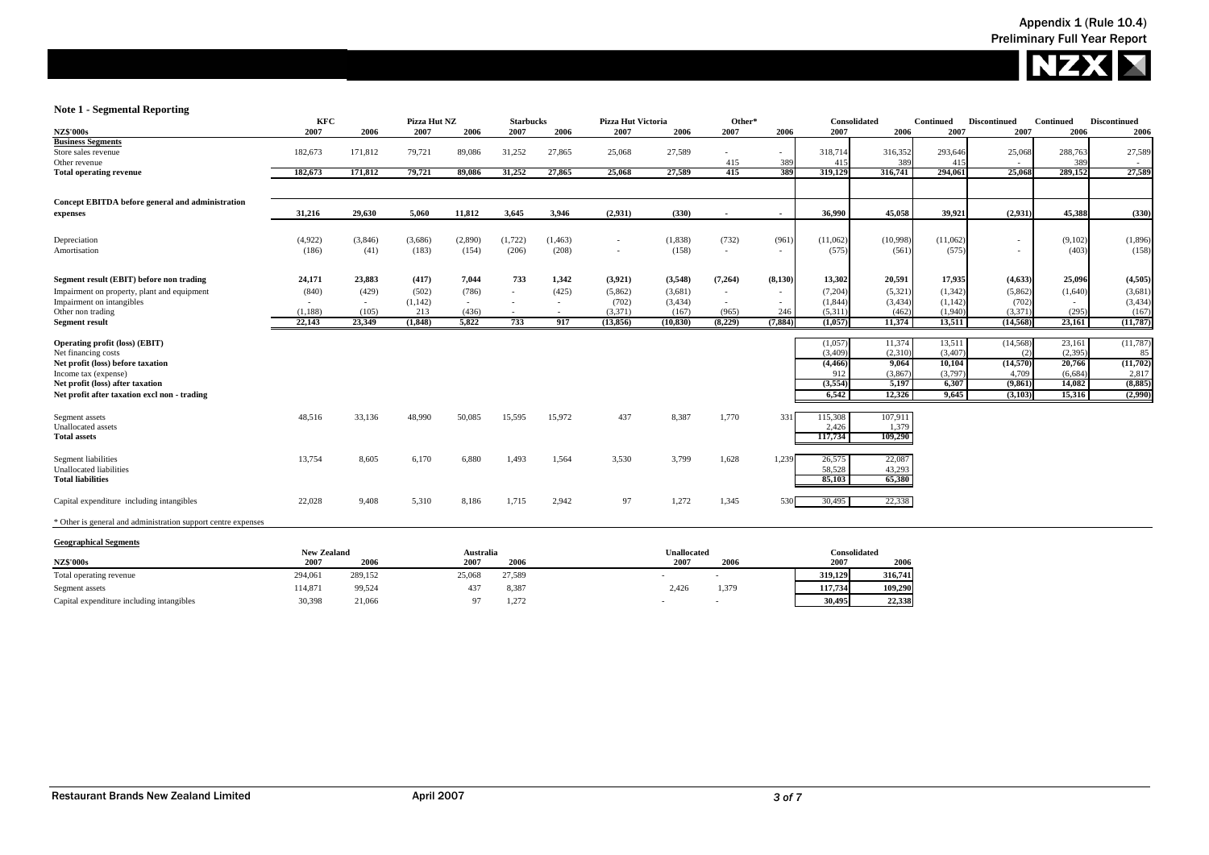

## **Note 1 - Segmental Reporting**

| <b>NZ\$'000s</b><br>2007<br>2006<br>2007<br>2007<br>2006<br>2006<br>2007<br>2007<br>2006<br>2006<br>2007<br>2006<br>2007<br><b>Business Segments</b><br>27,865<br>27,589<br>Store sales revenue<br>182,673<br>171,812<br>79,721<br>89,086<br>31,252<br>25,068<br>318,714<br>316,352<br>293,646 | 2007<br>25,068<br>415<br>25,068 | 2006<br>2006<br>27,589<br>288,763<br>389 |
|------------------------------------------------------------------------------------------------------------------------------------------------------------------------------------------------------------------------------------------------------------------------------------------------|---------------------------------|------------------------------------------|
|                                                                                                                                                                                                                                                                                                |                                 |                                          |
|                                                                                                                                                                                                                                                                                                |                                 |                                          |
|                                                                                                                                                                                                                                                                                                |                                 |                                          |
| 415<br>41.5<br>389<br>Other revenue<br>389                                                                                                                                                                                                                                                     |                                 |                                          |
| 415<br>389<br>319,129<br>294,061<br>171,812<br>79,721<br>27,865<br>25,068<br>27,589<br>316,741<br><b>Total operating revenue</b><br>182,673<br>89,086<br>31,252                                                                                                                                |                                 | 289,152<br>27,589                        |
| Concept EBITDA before general and administration                                                                                                                                                                                                                                               |                                 |                                          |
| 31,216<br>29,630<br>5,060<br>11,812<br>3,645<br>3,946<br>(2,931)<br>(330)<br>36,990<br>45,058<br>39,921<br>expenses<br>$\sim$<br>$\overline{\phantom{a}}$                                                                                                                                      | (2,931)                         | 45,388<br>(330)                          |
|                                                                                                                                                                                                                                                                                                |                                 |                                          |
| (4,922)<br>(1,722)<br>(1,838)<br>(732)<br>(11,062)<br>(11,062)<br>Depreciation<br>(3,846)<br>(3,686)<br>(2,890)<br>(1, 463)<br>(961)<br>(10,998)<br>$\sim$                                                                                                                                     | $\sim$                          | (9,102)<br>(1,896)                       |
| (208)<br>(158)<br>(575)<br>Amortisation<br>(186)<br>(183)<br>(154)<br>(206)<br>(575)<br>(561)<br>(41)<br>$\sim$<br>$\overline{\phantom{a}}$                                                                                                                                                    |                                 | (158)<br>(403)                           |
| 7,044<br>733<br>1,342<br>Segment result (EBIT) before non trading<br>24,171<br>23,883<br>(417)<br>(3,921)<br>(3,548)<br>(7,264)<br>(8,130)<br>13,302<br>20,591<br>17,935                                                                                                                       | (4, 633)                        | 25,096<br>(4,505)                        |
| Impairment on property, plant and equipment<br>(840)<br>(429)<br>(502)<br>(786)<br>(425)<br>(5,862)<br>(3,681)<br>(7,204)<br>(5, 321)<br>(1,342)<br>$\sim$<br>$\sim$<br>$\sim$                                                                                                                 | (5,862)                         | (3,681)<br>(1,640)                       |
| (1,142)<br>(702)<br>(3,434)<br>(1, 844)<br>(1,142)<br>Impairment on intangibles<br>(3, 434)<br>$\sim$<br>$\sim$<br>$\sim$<br>$\overline{\phantom{a}}$                                                                                                                                          | (702)                           | (3, 434)                                 |
| (1,940)<br>Other non trading<br>(436)<br>(3,371)<br>(167)<br>(5,311)<br>(462)<br>(1, 188)<br>213<br>(965)<br>246<br>(105)                                                                                                                                                                      | (3,371)                         | (167)<br>(295)                           |
| 917<br>(8,229)<br>23.349<br>(1, 848)<br>5,822<br>733<br>(13, 856)<br>(10, 830)<br>22,143<br>(7.884)<br>(1.057)<br>11,374<br>13,511<br><b>Segment result</b>                                                                                                                                    | (14, 568)                       | 23,161<br>(11,787)                       |
| 11,374<br>Operating profit (loss) (EBIT)<br>(1,057)<br>13,511                                                                                                                                                                                                                                  | (14, 568)                       | (11, 787)<br>23,161                      |
| (3.409)<br>(3.407)<br>Net financing costs<br>(2.310)                                                                                                                                                                                                                                           | (2)                             | (2.395)<br>85                            |
| Net profit (loss) before taxation<br>(4, 466)<br>9.064<br>10,104                                                                                                                                                                                                                               | (14,570)                        | (11,702)<br>20,766                       |
| (3,797)<br>Income tax (expense)<br>912<br>(3,867)<br>(3,554)<br>5,197<br>6,307<br>Net profit (loss) after taxation                                                                                                                                                                             | 4,709<br>(9, 861)               | 2,817<br>(6.684)<br>(8,885)<br>14,082    |
| Net profit after taxation excl non - trading<br>12,326<br>9,645<br>6,542                                                                                                                                                                                                                       | (3,103)                         | 15,316                                   |
|                                                                                                                                                                                                                                                                                                |                                 | (2,990)                                  |
| 1,770<br>48,516<br>50,085<br>15,595<br>15,972<br>437<br>8,387<br>107,911<br>Segment assets<br>33,136<br>48,990<br>331<br>115,308                                                                                                                                                               |                                 |                                          |
| Unallocated assets<br>1,379<br>2.426                                                                                                                                                                                                                                                           |                                 |                                          |
| 117,734<br>109,290<br><b>Total assets</b>                                                                                                                                                                                                                                                      |                                 |                                          |
| Segment liabilities<br>13,754<br>8,605<br>6,170<br>6,880<br>1,493<br>3,530<br>3,799<br>1,628<br>22,087<br>1,564<br>1,239<br>26,575                                                                                                                                                             |                                 |                                          |
| <b>Unallocated liabilities</b><br>58,528<br>43,293<br><b>Total liabilities</b><br>85,103<br>65,380                                                                                                                                                                                             |                                 |                                          |
|                                                                                                                                                                                                                                                                                                |                                 |                                          |
| 2,942<br>97<br>1,272<br>1,345<br>30.495<br>22,338<br>Capital expenditure including intangibles<br>22,028<br>9,408<br>8,186<br>1,715<br>5,310<br>530                                                                                                                                            |                                 |                                          |
| * Other is general and administration support centre expenses                                                                                                                                                                                                                                  |                                 |                                          |

| <b>Geographical Segments</b>              |                    |         |            |        |                    |       |         |                     |
|-------------------------------------------|--------------------|---------|------------|--------|--------------------|-------|---------|---------------------|
|                                           | <b>New Zealand</b> |         | Australia  |        | <b>Unallocated</b> |       |         | <b>Consolidated</b> |
| <b>NZ\$'000s</b>                          | 2007               | 2006    | 2007       | 2006   | 2007               | 2006  | 2007    | 2006                |
| Total operating revenue                   | 294,061            | 289,152 | 25,068     | 27,589 |                    |       | 319.129 | 316,741             |
| Segment assets                            | 114,871            | 99,524  | 437        | 8,387  | 2,426              | 1,379 | 117,734 | 109.290             |
| Capital expenditure including intangibles | 30,398             | 21,066  | $^{\circ}$ | 1,272  |                    |       | 30.495  | 22,338              |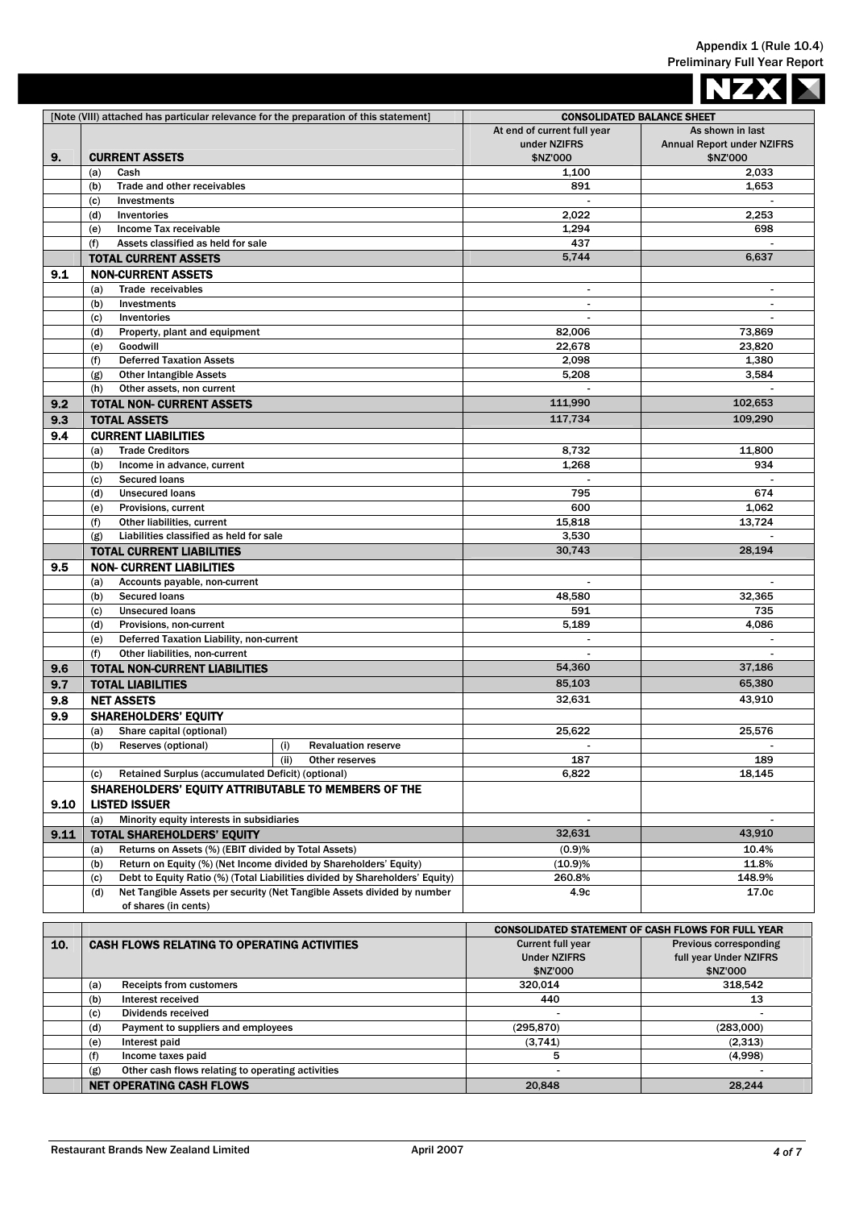|      |                                                                                                                                                          |                                                             | <b>NZX</b>                                                   |
|------|----------------------------------------------------------------------------------------------------------------------------------------------------------|-------------------------------------------------------------|--------------------------------------------------------------|
|      | [Note (VIII) attached has particular relevance for the preparation of this statement]                                                                    | <b>CONSOLIDATED BALANCE SHEET</b>                           |                                                              |
|      |                                                                                                                                                          | At end of current full year<br>under NZIFRS                 | As shown in last<br><b>Annual Report under NZIFRS</b>        |
| 9.   | <b>CURRENT ASSETS</b><br>(a)<br>Cash                                                                                                                     | \$NZ'000<br>1,100                                           | \$NZ'000<br>2,033                                            |
|      | Trade and other receivables<br>(b)                                                                                                                       | 891                                                         | 1,653                                                        |
|      | (c)<br>Investments                                                                                                                                       |                                                             |                                                              |
|      | (d)<br>Inventories                                                                                                                                       | 2.022                                                       | 2,253                                                        |
|      | Income Tax receivable<br>(e)<br>Assets classified as held for sale                                                                                       | 1,294<br>437                                                | 698                                                          |
|      | (f)<br><b>TOTAL CURRENT ASSETS</b>                                                                                                                       | 5,744                                                       | 6,637                                                        |
| 9.1  | <b>NON-CURRENT ASSETS</b>                                                                                                                                |                                                             |                                                              |
|      | Trade receivables<br>(a)                                                                                                                                 | $\sim$                                                      | $\sim$                                                       |
|      | (b)<br>Investments                                                                                                                                       |                                                             |                                                              |
|      | (c)<br>Inventories                                                                                                                                       | $\mathbf{r}$                                                | $\mathbf{r}$                                                 |
|      | Property, plant and equipment<br>(d)                                                                                                                     | 82,006                                                      | 73,869                                                       |
|      | Goodwill<br>(e)<br><b>Deferred Taxation Assets</b><br>(f)                                                                                                | 22,678<br>2,098                                             | 23,820<br>1,380                                              |
|      | (g)<br><b>Other Intangible Assets</b>                                                                                                                    | 5,208                                                       | 3,584                                                        |
|      | Other assets, non current<br>(h)                                                                                                                         |                                                             |                                                              |
| 9.2  | <b>TOTAL NON- CURRENT ASSETS</b>                                                                                                                         | 111,990                                                     | 102,653                                                      |
| 9.3  | <b>TOTAL ASSETS</b>                                                                                                                                      | 117,734                                                     | 109,290                                                      |
| 9.4  | <b>CURRENT LIABILITIES</b>                                                                                                                               |                                                             |                                                              |
|      | <b>Trade Creditors</b><br>(a)                                                                                                                            | 8,732                                                       | 11,800                                                       |
|      | (b)<br>Income in advance, current                                                                                                                        | 1.268                                                       | 934                                                          |
|      | <b>Secured loans</b><br>(c)<br><b>Unsecured loans</b><br>(d)                                                                                             | 795                                                         | 674                                                          |
|      | Provisions, current<br>(e)                                                                                                                               | 600                                                         | 1,062                                                        |
|      | (f)<br>Other liabilities, current                                                                                                                        | 15,818                                                      | 13,724                                                       |
|      | (g)<br>Liabilities classified as held for sale                                                                                                           | 3,530                                                       |                                                              |
|      | <b>TOTAL CURRENT LIABILITIES</b>                                                                                                                         | 30,743                                                      | 28,194                                                       |
| 9.5  | <b>NON- CURRENT LIABILITIES</b>                                                                                                                          |                                                             |                                                              |
|      | Accounts payable, non-current<br>(a)                                                                                                                     |                                                             |                                                              |
|      | <b>Secured loans</b><br>(b)                                                                                                                              | 48,580                                                      | 32,365                                                       |
|      | <b>Unsecured loans</b><br>(c)<br>Provisions, non-current<br>(d)                                                                                          | 591<br>5,189                                                | 735<br>4,086                                                 |
|      | Deferred Taxation Liability, non-current<br>(e)                                                                                                          |                                                             |                                                              |
|      | (f)<br>Other liabilities, non-current                                                                                                                    |                                                             | $\sim$                                                       |
| 9.6  | <b>TOTAL NON-CURRENT LIABILITIES</b>                                                                                                                     | 54,360                                                      | 37,186                                                       |
| 9.7  | <b>TOTAL LIABILITIES</b>                                                                                                                                 | 85,103                                                      | 65,380                                                       |
| 9.8  | <b>NET ASSETS</b>                                                                                                                                        | 32,631                                                      | 43,910                                                       |
| 9.9  | <b>SHAREHOLDERS' EQUITY</b>                                                                                                                              |                                                             |                                                              |
|      | Share capital (optional)<br>(a)                                                                                                                          | 25,622                                                      | 25,576                                                       |
|      | Reserves (optional)<br>(b)<br><b>Revaluation reserve</b><br>(i)<br>(iii)<br>Other reserves                                                               | 187                                                         | 189                                                          |
|      | Retained Surplus (accumulated Deficit) (optional)<br>(c)                                                                                                 | 6,822                                                       | 18,145                                                       |
|      | SHAREHOLDERS' EQUITY ATTRIBUTABLE TO MEMBERS OF THE                                                                                                      |                                                             |                                                              |
| 9.10 | <b>LISTED ISSUER</b>                                                                                                                                     |                                                             |                                                              |
|      | Minority equity interests in subsidiaries<br>(a)                                                                                                         |                                                             |                                                              |
| 9.11 | <b>TOTAL SHAREHOLDERS' EQUITY</b>                                                                                                                        | 32,631                                                      | 43,910                                                       |
|      | Returns on Assets (%) (EBIT divided by Total Assets)<br>(a)                                                                                              | (0.9)%                                                      | 10.4%                                                        |
|      | Return on Equity (%) (Net Income divided by Shareholders' Equity)<br>(b)<br>Debt to Equity Ratio (%) (Total Liabilities divided by Shareholders' Equity) | (10.9)%<br>260.8%                                           | 11.8%<br>148.9%                                              |
|      | (c)<br>Net Tangible Assets per security (Net Tangible Assets divided by number<br>(d)                                                                    | 4.9c                                                        | 17.0c                                                        |
|      | of shares (in cents)                                                                                                                                     |                                                             |                                                              |
|      |                                                                                                                                                          | <b>CONSOLIDATED STATEMENT OF CASH FLOWS FOR FULL YEAR</b>   |                                                              |
| 10.  | <b>CASH FLOWS RELATING TO OPERATING ACTIVITIES</b>                                                                                                       | <b>Current full year</b><br><b>Under NZIFRS</b><br>\$NZ'000 | Previous corresponding<br>full year Under NZIFRS<br>\$NZ'000 |
|      | <b>Receipts from customers</b><br>(a)<br>Interest received                                                                                               | 320,014<br>440                                              | 318,542<br>13                                                |
|      | (b)<br>Dividends received<br>(c)                                                                                                                         |                                                             |                                                              |
|      | Payment to suppliers and employees<br>(d)                                                                                                                | (295, 870)                                                  | (283,000)                                                    |
|      | Interest paid<br>(e)                                                                                                                                     | (3,741)                                                     | (2,313)                                                      |
|      | Income taxes paid<br>(f)                                                                                                                                 | 5                                                           | (4,998)                                                      |
|      | Other cash flows relating to operating activities<br>(g)                                                                                                 |                                                             |                                                              |
|      | <b>NET OPERATING CASH FLOWS</b>                                                                                                                          | 20,848                                                      | 28,244                                                       |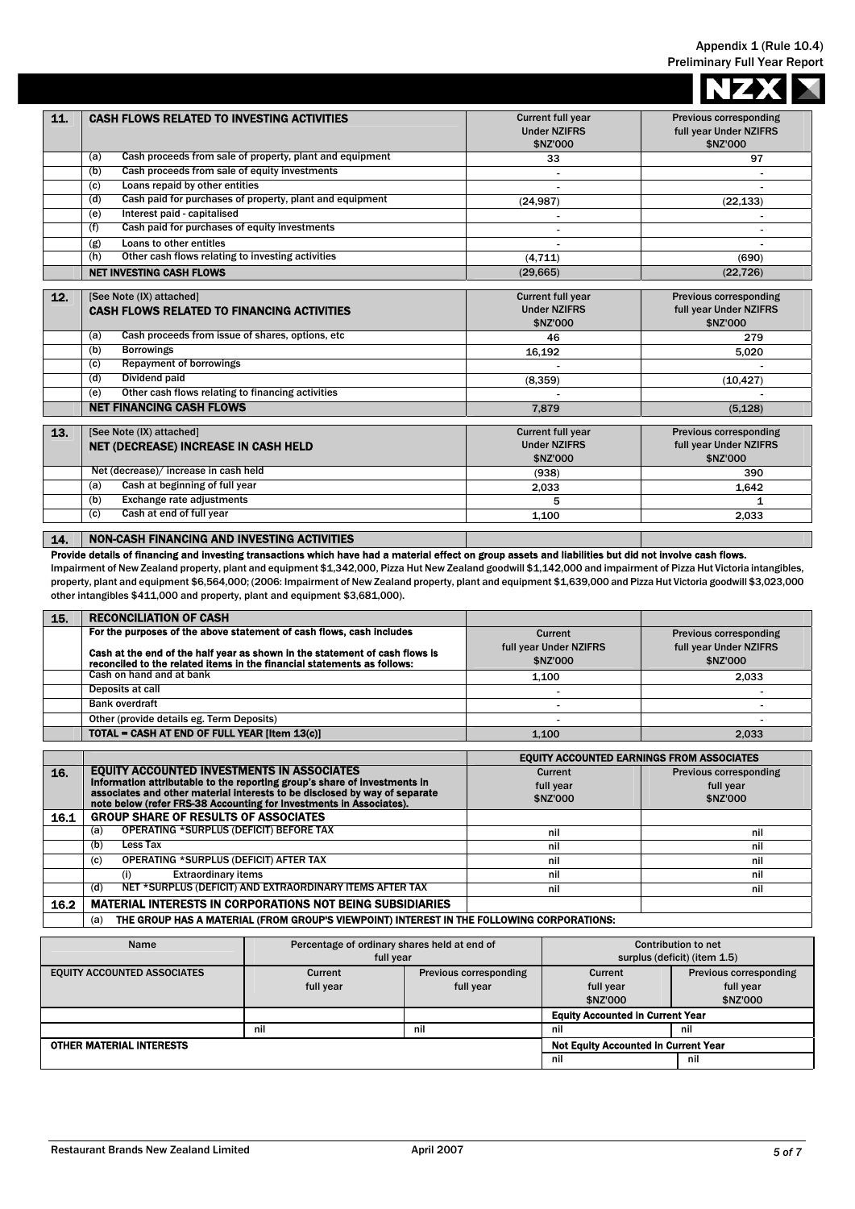|     |                                                                               |                                                             | <b>NZX</b>                                                          |
|-----|-------------------------------------------------------------------------------|-------------------------------------------------------------|---------------------------------------------------------------------|
| 11. | <b>CASH FLOWS RELATED TO INVESTING ACTIVITIES</b>                             | <b>Current full year</b><br><b>Under NZIFRS</b><br>\$NZ'000 | <b>Previous corresponding</b><br>full year Under NZIFRS<br>\$NZ'000 |
|     | Cash proceeds from sale of property, plant and equipment<br>(a)               | 33                                                          | 97                                                                  |
|     | Cash proceeds from sale of equity investments<br>(b)                          |                                                             |                                                                     |
|     | Loans repaid by other entities<br>(c)                                         |                                                             |                                                                     |
|     | Cash paid for purchases of property, plant and equipment<br>(d)               | (24, 987)                                                   | (22, 133)                                                           |
|     | Interest paid - capitalised<br>(e)                                            | $\blacksquare$                                              |                                                                     |
|     | Cash paid for purchases of equity investments<br>(f)                          |                                                             |                                                                     |
|     | Loans to other entitles<br>(g)                                                |                                                             |                                                                     |
|     | Other cash flows relating to investing activities<br>(h)                      | (4,711)                                                     | (690)                                                               |
|     | <b>NET INVESTING CASH FLOWS</b>                                               | (29, 665)                                                   | (22, 726)                                                           |
|     |                                                                               |                                                             |                                                                     |
| 12. | [See Note (IX) attached]<br><b>CASH FLOWS RELATED TO FINANCING ACTIVITIES</b> | <b>Current full year</b><br><b>Under NZIFRS</b><br>\$NZ'000 | <b>Previous corresponding</b><br>full year Under NZIFRS<br>\$NZ'000 |
|     | Cash proceeds from issue of shares, options, etc<br>(a)                       | 46                                                          | 279                                                                 |
|     | <b>Borrowings</b><br>(b)                                                      | 16,192                                                      | 5,020                                                               |
|     | <b>Repayment of borrowings</b><br>(c)                                         |                                                             |                                                                     |
|     | Dividend paid<br>(d)                                                          | (8,359)                                                     | (10, 427)                                                           |
|     | Other cash flows relating to financing activities<br>(e)                      |                                                             |                                                                     |
|     | <b>NET FINANCING CASH FLOWS</b>                                               | 7.879                                                       | (5.128)                                                             |
|     |                                                                               |                                                             |                                                                     |
| 13. | [See Note (IX) attached]<br><b>NET (DECREASE) INCREASE IN CASH HELD</b>       | <b>Current full year</b><br><b>Under NZIFRS</b><br>\$NZ'000 | <b>Previous corresponding</b><br>full year Under NZIFRS<br>\$NZ'000 |
|     | Net (decrease)/ increase in cash held                                         | (938)                                                       | 390                                                                 |
|     | Cash at beginning of full year<br>(a)                                         | 2.033                                                       | 1.642                                                               |
|     | <b>Exchange rate adjustments</b><br>(b)                                       | 5                                                           | 1                                                                   |
|     | Cash at end of full year<br>(c)                                               | 1,100                                                       | 2,033                                                               |
| 14. | <b>NON-CASH FINANCING AND INVESTING ACTIVITIES</b>                            |                                                             |                                                                     |

## Provide details of financing and investing transactions which have had a material effect on group assets and liabilities but did not involve cash flows.

Impairment of New Zealand property, plant and equipment \$1,342,000, Pizza Hut New Zealand goodwill \$1,142,000 and impairment of Pizza Hut Victoria intangibles, property, plant and equipment \$6,564,000; (2006: Impairment of New Zealand property, plant and equipment \$1,639,000 and Pizza Hut Victoria goodwill \$3,023,000 other intangibles \$411,000 and property, plant and equipment \$3,681,000).

| 15. | <b>RECONCILIATION OF CASH</b>                                                                                                                          |                                    |                                    |
|-----|--------------------------------------------------------------------------------------------------------------------------------------------------------|------------------------------------|------------------------------------|
|     | For the purposes of the above statement of cash flows, cash includes                                                                                   | Current                            | <b>Previous corresponding</b>      |
|     | Cash at the end of the half year as shown in the statement of cash flows is<br>reconciled to the related items in the financial statements as follows: | full year Under NZIFRS<br>\$NZ'000 | full year Under NZIFRS<br>\$NZ'000 |
|     | Cash on hand and at bank                                                                                                                               | 1.100                              | 2.033                              |
|     | Deposits at call                                                                                                                                       |                                    |                                    |
|     | <b>Bank overdraft</b>                                                                                                                                  |                                    |                                    |
|     | Other (provide details eg. Term Deposits)                                                                                                              |                                    |                                    |
|     | TOTAL = CASH AT END OF FULL YEAR [Item 13(c)]                                                                                                          | 1.100                              | 2.033                              |

|            |                                                                                                                                                         | <b>EQUITY ACCOUNTED EARNINGS FROM ASSOCIATES</b> |                               |  |
|------------|---------------------------------------------------------------------------------------------------------------------------------------------------------|--------------------------------------------------|-------------------------------|--|
| <b>16.</b> | EQUITY ACCOUNTED INVESTMENTS IN ASSOCIATES                                                                                                              | Current                                          | <b>Previous corresponding</b> |  |
|            | Information attributable to the reporting group's share of investments in<br>associates and other material interests to be disclosed by way of separate | full year                                        | full year                     |  |
|            | note below (refer FRS-38 Accounting for Investments in Associates).                                                                                     | \$NZ'000                                         | \$NZ'000                      |  |
| 16.1       | <b>GROUP SHARE OF RESULTS OF ASSOCIATES</b>                                                                                                             |                                                  |                               |  |
|            | OPERATING *SURPLUS (DEFICIT) BEFORE TAX<br>(a)                                                                                                          | nil                                              | nil                           |  |
|            | (b)<br>Less Tax                                                                                                                                         | nil                                              | nil                           |  |
|            | OPERATING *SURPLUS (DEFICIT) AFTER TAX<br>(c)                                                                                                           | nil                                              | nil                           |  |
|            | <b>Extraordinary items</b><br>(i)                                                                                                                       | nil                                              | nil                           |  |
|            | NET *SURPLUS (DEFICIT) AND EXTRAORDINARY ITEMS AFTER TAX<br>(d)                                                                                         | nil                                              | nil                           |  |
| 16.2       | <b>MATERIAL INTERESTS IN CORPORATIONS NOT BEING SUBSIDIARIES</b>                                                                                        |                                                  |                               |  |
|            | THE GROUP HAS A MATERIAL (FROM GROUP'S VIEWPOINT) INTEREST IN THE FOLLOWING CORPORATIONS:<br>(a)                                                        |                                                  |                               |  |

| Name                               | Percentage of ordinary shares held at end of |                               | <b>Contribution to net</b>                  |                               |
|------------------------------------|----------------------------------------------|-------------------------------|---------------------------------------------|-------------------------------|
|                                    | full year                                    |                               | surplus (deficit) (item 1.5)                |                               |
| <b>EQUITY ACCOUNTED ASSOCIATES</b> | Current                                      | <b>Previous corresponding</b> | Current                                     | <b>Previous corresponding</b> |
|                                    | full year                                    | full year                     | full year                                   | full year                     |
|                                    |                                              |                               | \$NZ'000                                    | \$NZ'000                      |
|                                    |                                              |                               | <b>Equity Accounted in Current Year</b>     |                               |
|                                    | nil                                          | nil                           | nil                                         | nil                           |
| <b>OTHER MATERIAL INTERESTS</b>    |                                              |                               | <b>Not Equity Accounted in Current Year</b> |                               |
|                                    |                                              |                               | nil                                         | nil                           |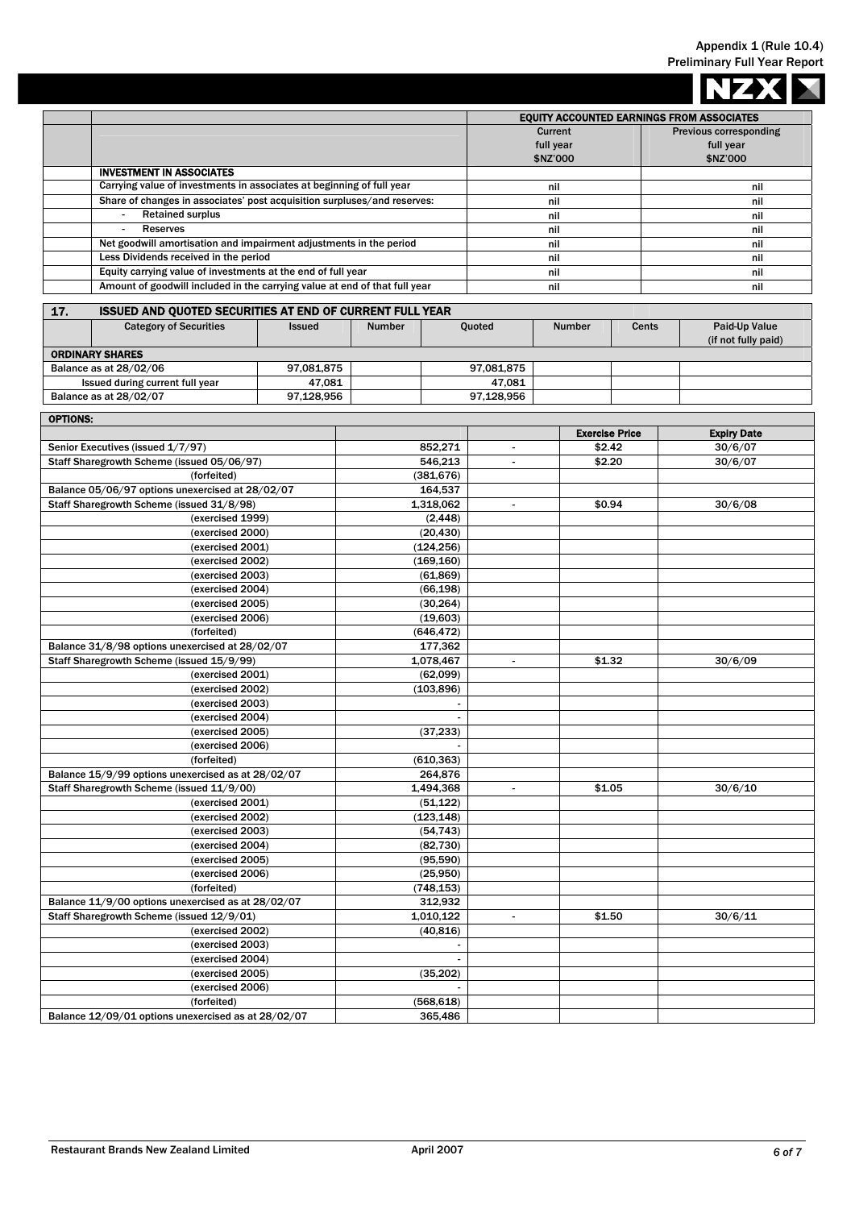|                                                     |                                                                            |               |                                                  |            |                          |                        |                               | <b>NZXX</b>         |
|-----------------------------------------------------|----------------------------------------------------------------------------|---------------|--------------------------------------------------|------------|--------------------------|------------------------|-------------------------------|---------------------|
|                                                     |                                                                            |               | <b>EQUITY ACCOUNTED EARNINGS FROM ASSOCIATES</b> |            |                          |                        |                               |                     |
|                                                     |                                                                            |               |                                                  | Current    |                          |                        | <b>Previous corresponding</b> |                     |
|                                                     |                                                                            |               |                                                  |            |                          | full year              |                               | full year           |
|                                                     |                                                                            |               | \$NZ'000                                         |            |                          |                        | \$NZ'000                      |                     |
|                                                     | <b>INVESTMENT IN ASSOCIATES</b>                                            |               |                                                  |            |                          |                        |                               |                     |
|                                                     | Carrying value of investments in associates at beginning of full year      |               |                                                  |            | nil                      |                        |                               | nil                 |
|                                                     | Share of changes in associates' post acquisition surpluses/and reserves:   |               |                                                  |            | nil                      |                        |                               | nil                 |
|                                                     | <b>Retained surplus</b><br>$\sim$                                          |               |                                                  | nil        |                          |                        | nil                           |                     |
|                                                     | <b>Reserves</b><br>$\blacksquare$                                          |               |                                                  |            | nil                      |                        | nil                           |                     |
|                                                     | Net goodwill amortisation and impairment adjustments in the period         |               |                                                  |            | nil                      |                        | nil                           |                     |
|                                                     | Less Dividends received in the period                                      |               |                                                  |            | nil                      |                        |                               | nil                 |
|                                                     | Equity carrying value of investments at the end of full year               |               |                                                  |            |                          | nil                    |                               | nil                 |
|                                                     | Amount of goodwill included in the carrying value at end of that full year |               |                                                  |            | nil                      |                        | nil                           |                     |
| 17.                                                 | ISSUED AND QUOTED SECURITIES AT END OF CURRENT FULL YEAR                   |               |                                                  |            |                          |                        |                               |                     |
|                                                     | <b>Category of Securities</b>                                              | <b>Issued</b> | Number                                           |            | Quoted                   | <b>Number</b><br>Cents |                               | Paid-Up Value       |
|                                                     |                                                                            |               |                                                  |            |                          |                        |                               | (if not fully paid) |
|                                                     | <b>ORDINARY SHARES</b>                                                     |               |                                                  |            |                          |                        |                               |                     |
|                                                     | Balance as at 28/02/06                                                     | 97,081,875    |                                                  |            | 97,081,875               |                        |                               |                     |
|                                                     | Issued during current full year                                            | 47,081        |                                                  |            | 47,081                   |                        |                               |                     |
|                                                     | Balance as at 28/02/07                                                     | 97,128,956    |                                                  |            | 97,128,956               |                        |                               |                     |
| <b>OPTIONS:</b>                                     |                                                                            |               |                                                  |            |                          |                        |                               |                     |
|                                                     |                                                                            |               |                                                  |            |                          |                        | <b>Exercise Price</b>         | <b>Expiry Date</b>  |
|                                                     | Senior Executives (issued 1/7/97)                                          |               |                                                  | 852,271    | $\blacksquare$           |                        | \$2.42                        | 30/6/07             |
|                                                     | Staff Sharegrowth Scheme (issued 05/06/97)                                 |               |                                                  | 546,213    |                          |                        | \$2.20                        | 30/6/07             |
|                                                     | (forfeited)                                                                |               |                                                  | (381, 676) |                          |                        |                               |                     |
|                                                     | Balance 05/06/97 options unexercised at 28/02/07                           |               | 164,537                                          |            |                          |                        |                               |                     |
|                                                     | Staff Sharegrowth Scheme (issued 31/8/98)                                  |               | 1,318,062                                        |            | $\blacksquare$           |                        | \$0.94                        | 30/6/08             |
| (exercised 1999)                                    |                                                                            |               | (2, 448)                                         |            |                          |                        |                               |                     |
| (exercised 2000)                                    |                                                                            |               | (20, 430)                                        |            |                          |                        |                               |                     |
| (exercised 2001)                                    |                                                                            |               |                                                  | (124, 256) |                          |                        |                               |                     |
| (exercised 2002)                                    |                                                                            |               | (169, 160)                                       |            |                          |                        |                               |                     |
| (exercised 2003)                                    |                                                                            |               |                                                  | (61, 869)  |                          |                        |                               |                     |
| (exercised 2004)                                    |                                                                            |               |                                                  | (66, 198)  |                          |                        |                               |                     |
| (exercised 2005)                                    |                                                                            |               |                                                  | (30, 264)  |                          |                        |                               |                     |
| (exercised 2006)                                    |                                                                            |               |                                                  | (19,603)   |                          |                        |                               |                     |
| (forfeited)                                         |                                                                            |               |                                                  | (646, 472) |                          |                        |                               |                     |
| Balance 31/8/98 options unexercised at 28/02/07     |                                                                            |               |                                                  | 177,362    |                          |                        |                               |                     |
| Staff Sharegrowth Scheme (issued 15/9/99)           |                                                                            |               |                                                  | 1,078,467  | $\overline{\phantom{a}}$ |                        | \$1.32                        | 30/6/09             |
|                                                     | (exercised 2001)                                                           |               |                                                  | (62,099)   |                          |                        |                               |                     |
|                                                     | (exercised 2002)                                                           |               |                                                  | (103, 896) |                          |                        |                               |                     |
|                                                     | (exercised 2003)                                                           |               |                                                  |            |                          |                        |                               |                     |
|                                                     | (exercised 2004)                                                           |               |                                                  |            |                          |                        |                               |                     |
|                                                     | (exercised 2005)                                                           |               |                                                  | (37, 233)  |                          |                        |                               |                     |
|                                                     | (exercised 2006)                                                           |               |                                                  |            |                          |                        |                               |                     |
|                                                     | (forfeited)                                                                |               |                                                  | (610, 363) |                          |                        |                               |                     |
|                                                     | Balance 15/9/99 options unexercised as at 28/02/07                         |               |                                                  | 264,876    |                          |                        |                               |                     |
|                                                     | Staff Sharegrowth Scheme (issued 11/9/00)                                  |               | 1,494,368                                        |            | $\blacksquare$           |                        | \$1.05                        | 30/6/10             |
|                                                     | (exercised 2001)                                                           |               |                                                  | (51, 122)  |                          |                        |                               |                     |
|                                                     | (exercised 2002)                                                           |               | (123, 148)                                       |            |                          |                        |                               |                     |
|                                                     | (exercised 2003)                                                           |               |                                                  | (54, 743)  |                          |                        |                               |                     |
| (exercised 2004)                                    |                                                                            |               | (82, 730)                                        |            |                          |                        |                               |                     |
| (exercised 2005)                                    |                                                                            |               |                                                  | (95, 590)  |                          |                        |                               |                     |
| (exercised 2006)                                    |                                                                            |               |                                                  | (25,950)   |                          |                        |                               |                     |
| (forfeited)                                         |                                                                            |               |                                                  | (748, 153) |                          |                        |                               |                     |
| Balance 11/9/00 options unexercised as at 28/02/07  |                                                                            |               |                                                  | 312,932    |                          |                        |                               |                     |
| Staff Sharegrowth Scheme (issued 12/9/01)           |                                                                            |               |                                                  | 1,010,122  | $\blacksquare$           |                        | \$1.50                        | 30/6/11             |
| (exercised 2002)                                    |                                                                            |               |                                                  | (40, 816)  |                          |                        |                               |                     |
| (exercised 2003)                                    |                                                                            |               |                                                  |            |                          |                        |                               |                     |
| (exercised 2004)                                    |                                                                            |               |                                                  |            |                          |                        |                               |                     |
| (exercised 2005)                                    |                                                                            |               |                                                  | (35, 202)  |                          |                        |                               |                     |
| (exercised 2006)                                    |                                                                            |               |                                                  |            |                          |                        |                               |                     |
|                                                     | (forfeited)                                                                |               |                                                  | (568, 618) |                          |                        |                               |                     |
| Balance 12/09/01 options unexercised as at 28/02/07 |                                                                            |               |                                                  | 365,486    |                          |                        |                               |                     |